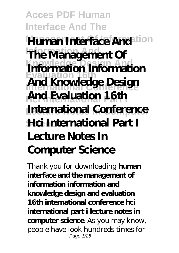**Acces PDF Human Interface And The Human Interface And Ition The Management Of Knowledge Design And Evaluation 16th International Conference Hci International Part I And Evaluation 16th International Conference Science Hci International Part I Information Information And Knowledge Design Lecture Notes In Computer Science**

Thank you for downloading **human interface and the management of information information and knowledge design and evaluation 16th international conference hci international part i lecture notes in computer science**. As you may know, people have look hundreds times for Page 1/28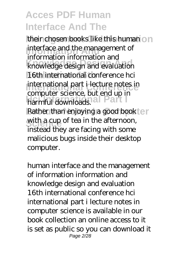their chosen books like this human on **Information And** interface and the management of **Knowledge Design And** knowledge design and evaluation 16th international conference hci international part i lecture notes in **Harmful downloads.** Rather than enjoying a good book ter with a cup of tea in the afternoon, information information and computer science, but end up in instead they are facing with some malicious bugs inside their desktop computer.

human interface and the management of information information and knowledge design and evaluation 16th international conference hci international part i lecture notes in computer science is available in our book collection an online access to it is set as public so you can download it Page 2/28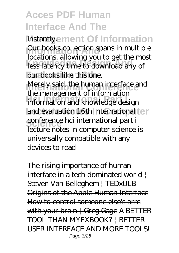instantly.ement Of Information Our books collection spans in multiple **Knowledge Design And** less latency time to download any of our books like this one. **International Merely said, the human interface and Hci International Part I** information and knowledge design and evaluation 16th international ter conference hci international part i locations, allowing you to get the most the management of information lecture notes in computer science is universally compatible with any devices to read

*The rising importance of human interface in a tech-dominated world | Steven Van Belleghem | TEDxULB* Origins of the Apple Human Interface How to control someone else's arm with your brain  $\frac{1}{1}$  Greg Gage A BETTER TOOL THAN MYFXBOOK? | BETTER USER INTERFACE AND MORE TOOLS! Page 3/28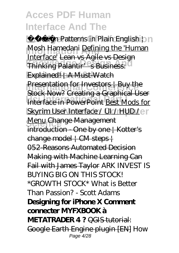**M** *Design Patterns in Plain English bn* **Information And** *Mosh Hamedani* Defining the 'Human **Thinking Palantir's Business:** Explained! | A Must-Watch **Presentation for Investors | Buy the Heighter II** Collaing a diapractic SSC Skyrim User Interface / UI / HUD / en **Menu Change Management** Interface' Lean vs Agile vs Design Stock Now? Creating a Graphical User introduction One by one | Kotter's change model | CM steps | 052-Reasons Automated Decision Making with Machine Learning Can Fail with James Taylor *ARK INVEST IS BUYING BIG ON THIS STOCK! \*GROWTH STOCK\** What is Better Than Passion? - Scott Adams **Designing for iPhone X Comment connecter MYFXBOOK à METATRADER 4?** QGIS tutorial: Google Earth Engine plugin [EN] *How* Page 4/28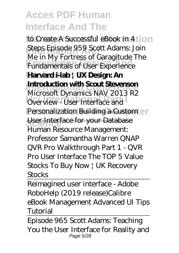*to Create A Successful eBook in 4* **Information And** *Steps Episode 959 Scott Adams: Join Knowledge Design Changementals of User Experience* **Harvard i-lab | UX Design: An Introduction with Scout Stevenson Duriew - User Interface and** Personalization Building a Custom en User Interface for your Database *Me in My Fortress of Garagitude The* Microsoft Dynamics NAV 2013 R2 *Human Resource Management: Professor Samantha Warren QNAP QVR Pro Walkthrough Part 1 - QVR Pro User Interface The TOP 5 Value Stocks To Buy Now | UK Recovery Stocks*

Reimagined user interface - Adobe RoboHelp (2019 release)*Calibre eBook Management Advanced UI Tips Tutorial*

Episode 965 Scott Adams: Teaching You the User Interface for Reality and Page 5/28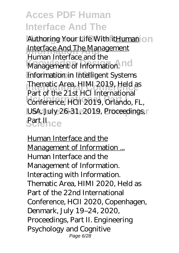Authoring Your Life With itHuman on **Interface And The Management Management of Information.** no **Information in Intelligent Systems Thematic Area, HIMI 2019, Held as Hci International Part I** Conference, HCII 2019, Orlando, FL, **USA, July 26-31, 2019, Proceedings,** *<u>SeitHice</u>* Human Interface and the Part of the 21st HCI International

Human Interface and the Management of Information ... Human Interface and the Management of Information. Interacting with Information. Thematic Area, HIMI 2020, Held as Part of the 22nd International Conference, HCII 2020, Copenhagen, Denmark, July 19–24, 2020, Proceedings, Part II. Engineering Psychology and Cognitive Page 6/28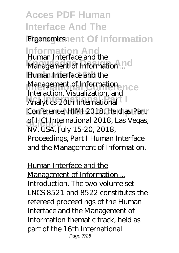**Acces PDF Human Interface And The** Ergonomics.nent Of Information **Information And** Human Interface and the **Management of Information ... Human Interface and the Management of Information.**<br>Internation. *Viewslingthan* and Ce **Hci International Part I** Analytics 20th International Conference, HIMI 2018, Held as Part of HCI International 2018, Las Vegas, Interaction, Visualization, and NV, USA, July 15-20, 2018, Proceedings, Part I Human Interface and the Management of Information.

Human Interface and the Management of Information ... Introduction. The two-volume set LNCS 8521 and 8522 constitutes the refereed proceedings of the Human Interface and the Management of Information thematic track, held as part of the 16th International Page 7/28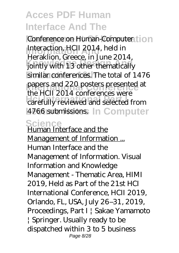Conference on Human-Computer tion Interaction, HCII 2014, held in **Knowledge Design And** jointly with 13 other thematically similar conferences. The total of 1476 papers and 220 posters presented at **Hci International Part I** carefully reviewed and selected from **LAZ66 submissions.** In Computer Heraklion, Greece, in June 2014, the HCII 2014 conferences were

**Science** Human Interface and the Management of Information ... Human Interface and the Management of Information. Visual Information and Knowledge Management - Thematic Area, HIMI 2019, Held as Part of the 21st HCI International Conference, HCII 2019, Orlando, FL, USA, July 26–31, 2019, Proceedings, Part I | Sakae Yamamoto | Springer. Usually ready to be dispatched within 3 to 5 business Page 8/28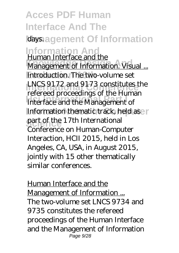**Acces PDF Human Interface And The** *days.agement Of Information* **Information And** Human Interface and the **Management of Information. Visual ...** Introduction. The two-volume set **International Conference** LNCS 9172 and 9173 constitutes the Interface and the Management of Information thematic track, held aser part of the 17th International refereed proceedings of the Human Conference on Human-Computer Interaction, HCII 2015, held in Los Angeles, CA, USA, in August 2015, jointly with 15 other thematically similar conferences.

Human Interface and the Management of Information ... The two-volume set LNCS 9734 and 9735 constitutes the refereed proceedings of the Human Interface and the Management of Information Page 9/28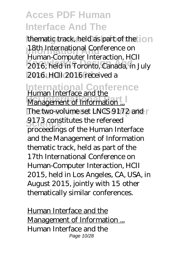thematic track, held as part of the **18th International Conference on Knowledge Design And** 2016, held in Toronto, Canada, in July **Evaluation 16th** 2016. HCII 2016 received a Human-Computer Interaction, HCII

**International Conference** Human Interface and the

**Management of Information ...** The two-volume set LNCS 9172 and 9173 constitutes the refereed proceedings of the Human Interface and the Management of Information thematic track, held as part of the 17th International Conference on Human-Computer Interaction, HCII 2015, held in Los Angeles, CA, USA, in August 2015, jointly with 15 other thematically similar conferences.

Human Interface and the Management of Information ... Human Interface and the Page 10/28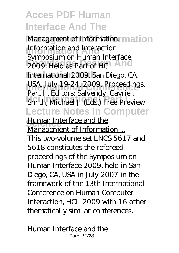Management of Information<sup>r</sup> mation **Information and Interaction 2009, Held as Part of HCI And Evaluation 16th** International 2009, San Diego, CA, USA, July 19-24, 2009, Proceedings, **Smith, Michael J. (Eds.) Free Preview Lecture Notes In Computer** Symposium on Human Interface Part II. Editors: Salvendy, Gavriel,

**Human Interface and the** Management of Information ... This two-volume set LNCS 5617 and 5618 constitutes the refereed proceedings of the Symposium on Human Interface 2009, held in San Diego, CA, USA in July 2007 in the framework of the 13th International Conference on Human-Computer Interaction, HCII 2009 with 16 other thematically similar conferences.

Human Interface and the Page 11/28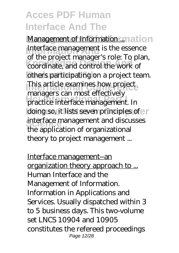**Management of Information** ... mation Interface management is the essence **Knowledge Design And** coordinate, and control the work of others participating on a project team. This article examines how project **Hanagers carriest enceavely**<br>practice interface management. In doing so, it lists seven principles of e interface management and discusses of the project manager's role: To plan, managers can most effectively the application of organizational theory to project management ...

Interface management--an organization theory approach to ... Human Interface and the Management of Information. Information in Applications and Services. Usually dispatched within 3 to 5 business days. This two-volume set LNCS 10904 and 10905 constitutes the refereed proceedings Page 12/28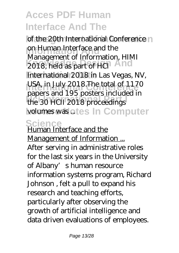of the 20th International Conference no on Human Interface and the **2018, held as part of HCI** International 2018 in Las Vegas, NV, **International Conference** USA, in July 2018.The total of 1170 **Hci International Part I** the 30 HCII 2018 proceedings volumes was otes In Computer Management of Information, HIMI papers and 195 posters included in

# **Science** Human Interface and the

Management of Information ... After serving in administrative roles for the last six years in the University of Albany's human resource information systems program, Richard Johnson , felt a pull to expand his research and teaching efforts, particularly after observing the growth of artificial intelligence and data driven evaluations of employees.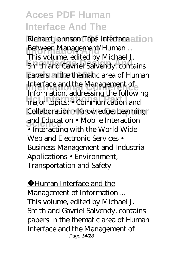**Richard Johnson Taps Interface at ion Between Management/Human ...**<br>This unhance edited by Michael 1 **Knowledge Design Andrews**<br>
Smith and Gavriel Salvendy, contains papers in the thematic area of Human Interface and the Management of **Hci International Part I** major topics: • Communication and **Collaboration • Knowledge, Learning** and Education • Mobile Interaction This volume, edited by Michael J. Information, addressing the following • Interacting with the World Wide Web and Electronic Services • Business Management and Industrial Applications • Environment, Transportation and Safety

Human Interface and the Management of Information ... This volume, edited by Michael J. Smith and Gavriel Salvendy, contains papers in the thematic area of Human Interface and the Management of Page 14/28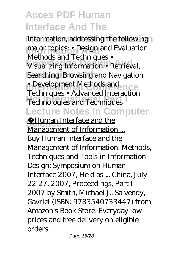Information, addressing the following **Inajor topics:** • Design and Evaluation **Knowledge Design And** Visualizing Information • Retrieval, Searching, Browsing and Navigation • Development Methods and **Hechnologies and Techniques Lecture Notes In Computer** Methods and Techniques • Techniques • Advanced Interaction

**Schuman Interface and the** Management of Information ... Buy Human Interface and the Management of Information. Methods, Techniques and Tools in Information Design: Symposium on Human Interface 2007, Held as ... China, July 22-27, 2007, Proceedings, Part I 2007 by Smith, Michael J., Salvendy, Gavriel (ISBN: 9783540733447) from Amazon's Book Store. Everyday low prices and free delivery on eligible orders.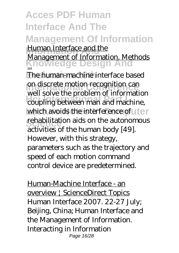#### **Acces PDF Human Interface And The Management Of Information** Human Interface and <u>the</u><br>Management of Information. Methods **Knowledge Design And** The human-machine interface based **International Conference**<br> **International Conference**<br> **International Conference** real sorrelate prostern of machines. Human Interface and the ... well solve the problem of information

which avoids the interference of uter **rehabilitation aids on the autonomous** activities of the human body [49]. However, with this strategy, parameters such as the trajectory and speed of each motion command control device are predetermined.

Human-Machine Interface - an overview | ScienceDirect Topics Human Interface 2007. 22-27 July; Beijing, China; Human Interface and the Management of Information. Interacting in Information Page 16/28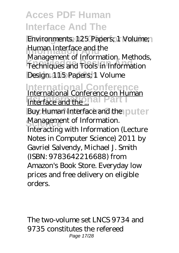**Environments. 125 Papers; 1 Volume; Information Interface and the Knowledge Design And** Techniques and Tools in Information Design. 115 Papers; 1 Volume Management of Information. Methods,

**International Conference** International Conference on Human

Interface and the ...<sup>131</sup> Part I Buy Human Interface and the puter **Management of Information.** Interacting with Information (Lecture Notes in Computer Science) 2011 by Gavriel Salvendy, Michael J. Smith (ISBN: 9783642216688) from Amazon's Book Store. Everyday low prices and free delivery on eligible orders.

The two-volume set LNCS 9734 and 9735 constitutes the refereed Page 17/28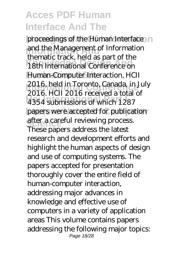proceedings of the Human Interface n **Information Analysis and the Management of Information Knowledge Design And** 18th International Conference on **Evaluation 16th** Human-Computer Interaction, HCII 2016, held in Toronto, Canada, in July<br>2016, L<sup>I</sup>CU 2016, westined study of **Hci International Part I** 4354 submissions of which 1287 papers were accepted for publication after a careful reviewing process. thematic track, held as part of the 2016. HCII 2016 received a total of These papers address the latest research and development efforts and highlight the human aspects of design and use of computing systems. The papers accepted for presentation thoroughly cover the entire field of human-computer interaction, addressing major advances in knowledge and effective use of computers in a variety of application areas This volume contains papers addressing the following major topics: Page 18/28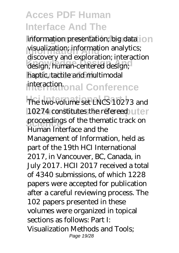information presentation; big data on **Information And** visualization; information analytics; design, human-centered design; haptic, tactile and multimodal interaction<sub>onal</sub> Conference discovery and exploration; interaction

The two-volume set LNCS 10273 and 10274 constitutes the refereed uter proceedings of the thematic track on Human Interface and the Management of Information, held as part of the 19th HCI International 2017, in Vancouver, BC, Canada, in July 2017. HCII 2017 received a total of 4340 submissions, of which 1228 papers were accepted for publication after a careful reviewing process. The 102 papers presented in these volumes were organized in topical sections as follows: Part I: Visualization Methods and Tools; Page 19/28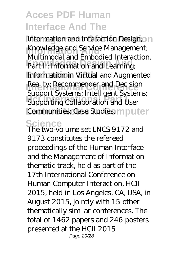Information and Interaction Design; 0 n **Information Andrew Management;**<br>Andrew and International Internation *Part II: Information and Learning* **Information in Virtual and Augmented International Reality; Recommender and Decision Support Systems**, *Hitchigent System* Communities; Case Studies. mputer Multimodal and Embodied Interaction. Support Systems; Intelligent Systems;

#### **Science** The two-volume set LNCS 9172 and

9173 constitutes the refereed proceedings of the Human Interface and the Management of Information thematic track, held as part of the 17th International Conference on Human-Computer Interaction, HCII 2015, held in Los Angeles, CA, USA, in August 2015, jointly with 15 other thematically similar conferences. The total of 1462 papers and 246 posters presented at the HCII 2015 Page 20/28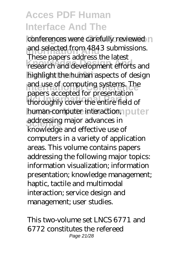conferences were carefully reviewed and selected from 4843 submis<br>These papers address the latest **Knowledge Design And** research and development efforts and highlight the human aspects of design and use of computing systems. The **Hci International Part I** thoroughly cover the entire field of human-computer interaction, puter **Science Science**<br>
addressing major advances in and selected from 4843 submissions. papers accepted for presentation knowledge and effective use of computers in a variety of application areas. This volume contains papers addressing the following major topics: information visualization; information presentation; knowledge management; haptic, tactile and multimodal interaction; service design and management; user studies.

This two-volume set LNCS 6771 and 6772 constitutes the refereed Page 21/28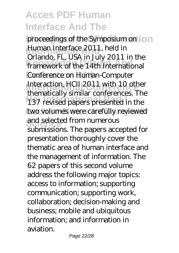proceedings of the Symposium on ion **Human Interface 2011, held in Knowledge Design And** framework of the 14th International **Conference on Human-Computer** Interaction, HCII 2011 with 10 other **Hci International Part I** 137 revised papers presented in the two volumes were carefully reviewed and selected from numerous Orlando, FL, USA in July 2011 in the thematically similar conferences. The submissions. The papers accepted for presentation thoroughly cover the thematic area of human interface and the management of information. The 62 papers of this second volume address the following major topics: access to information; supporting communication; supporting work, collaboration; decision-making and business; mobile and ubiquitous information; and information in aviation.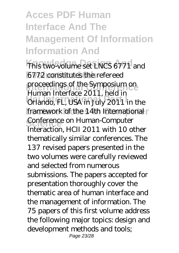### **Acces PDF Human Interface And The Management Of Information Information And**

This two-volume set LNCS 6771 and **Evaluation 16th** 6772 constitutes the refereed **International Conference**<br>Proceedings of the Symposium on **Hci International Part I** Orlando, FL, USA in July 2011 in the framework of the 14th International **Conference on Human-Computer** Human Interface 2011, held in Interaction, HCII 2011 with 10 other thematically similar conferences. The 137 revised papers presented in the two volumes were carefully reviewed and selected from numerous submissions. The papers accepted for presentation thoroughly cover the thematic area of human interface and the management of information. The 75 papers of this first volume address the following major topics: design and development methods and tools; Page 23/28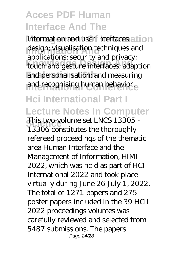information and user interfaces at ion **Information and**<br> **Information and**<br> **Information Knowledge Design And** touch and gesture interfaces; adaption and personalisation; and measuring and recognising human behavior. applications; security and privacy;

#### **Hci International Part I Lecture Notes In Computer**

This two-volume set LNCS 13305 -13306 constitutes the thoroughly refereed proceedings of the thematic area Human Interface and the Management of Information, HIMI 2022, which was held as part of HCI International 2022 and took place virtually during June 26-July 1, 2022. The total of 1271 papers and 275 poster papers included in the 39 HCII 2022 proceedings volumes was carefully reviewed and selected from 5487 submissions. The papers Page 24/28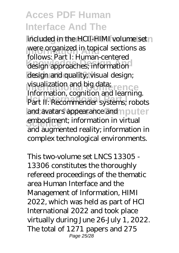included in the HCII-HIMI volume set **Information Andrew Merce organized in topical sections as Knowledge Design And** design approaches; information design and quality; visual design; visualization and big data;<br>*Information* and it contributes **Hci International Part I** Part II: Recommender systems; robots and avatars appearance and nputer embodiment; information in virtual follows: Part I: Human-centered Information, cognition and learning. and augmented reality; information in complex technological environments.

This two-volume set LNCS 13305 - 13306 constitutes the thoroughly refereed proceedings of the thematic area Human Interface and the Management of Information, HIMI 2022, which was held as part of HCI International 2022 and took place virtually during June 26-July 1, 2022. The total of 1271 papers and 275 Page 25/28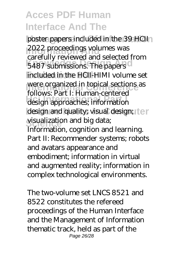poster papers included in the 39 HCII 2022 proceedings volumes was **Example Denote Canadia** Belge Canadian Belge Canadian Belge Canadian Belge Canadian Belge Canadian Belge Canadian Belge Canadian Belge Canadian Belge Canadian Belge Canadian Belge Canadian Belge Canadian Belge Canadian Be **Evaluation 16th** included in the HCII-HIMI volume set **International Conference**<br> **I** Conference of the sections as design approaches; information design and quality; visual design; ter visualization and big data; carefully reviewed and selected from follows: Part I: Human-centered Information, cognition and learning. Part II: Recommender systems; robots and avatars appearance and embodiment; information in virtual and augmented reality; information in complex technological environments.

The two-volume set LNCS 8521 and 8522 constitutes the refereed proceedings of the Human Interface and the Management of Information thematic track, held as part of the Page 26/28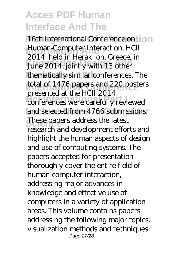16th International Conference on **101 Human-Computer Interaction, HCII**<br> **2014 Josef in Ungelian** Guesse in Let 1, here in 1 letaking, an ecce,<br>June 2014, jointly with 13 other thematically similar conferences. The **International Conference**<br> **International Conference Hci International Part I** conferences were carefully reviewed and selected from 4766 submissions. **Scheen These papers address the latest** 2014, held in Heraklion, Greece, in presented at the HCII 2014 research and development efforts and highlight the human aspects of design and use of computing systems. The papers accepted for presentation thoroughly cover the entire field of human-computer interaction, addressing major advances in knowledge and effective use of computers in a variety of application areas. This volume contains papers addressing the following major topics: visualization methods and techniques; Page 27/28